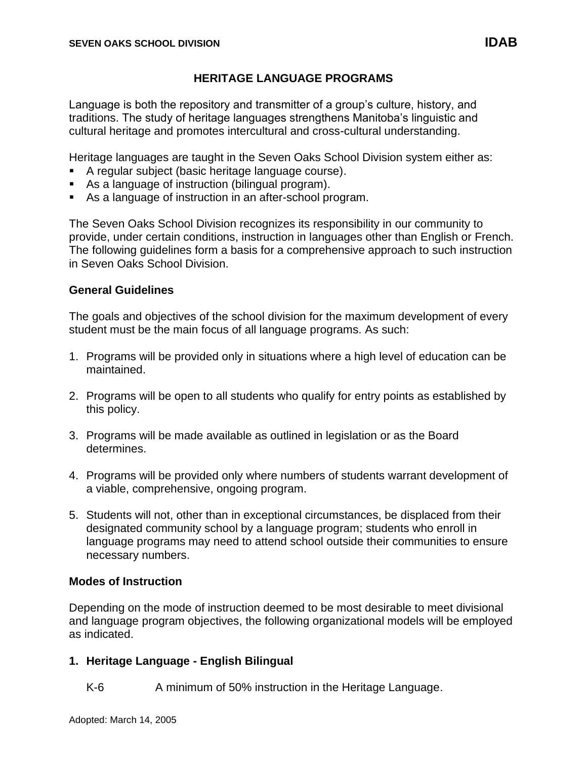# **HERITAGE LANGUAGE PROGRAMS**

Language is both the repository and transmitter of a group's culture, history, and traditions. The study of heritage languages strengthens Manitoba's linguistic and cultural heritage and promotes intercultural and cross-cultural understanding.

Heritage languages are taught in the Seven Oaks School Division system either as:

- A regular subject (basic heritage language course).
- As a language of instruction (bilingual program).
- As a language of instruction in an after-school program.

The Seven Oaks School Division recognizes its responsibility in our community to provide, under certain conditions, instruction in languages other than English or French. The following guidelines form a basis for a comprehensive approach to such instruction in Seven Oaks School Division.

### **General Guidelines**

The goals and objectives of the school division for the maximum development of every student must be the main focus of all language programs. As such:

- 1. Programs will be provided only in situations where a high level of education can be maintained.
- 2. Programs will be open to all students who qualify for entry points as established by this policy.
- 3. Programs will be made available as outlined in legislation or as the Board determines.
- 4. Programs will be provided only where numbers of students warrant development of a viable, comprehensive, ongoing program.
- 5. Students will not, other than in exceptional circumstances, be displaced from their designated community school by a language program; students who enroll in language programs may need to attend school outside their communities to ensure necessary numbers.

#### **Modes of Instruction**

Depending on the mode of instruction deemed to be most desirable to meet divisional and language program objectives, the following organizational models will be employed as indicated.

# **1. Heritage Language - English Bilingual**

K-6 A minimum of 50% instruction in the Heritage Language.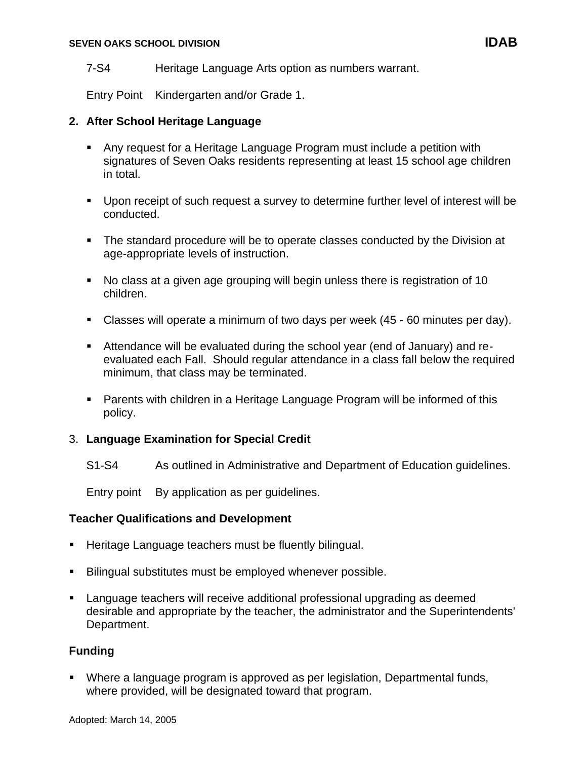#### **SEVEN OAKS SCHOOL DIVISION IDAB**

7-S4 Heritage Language Arts option as numbers warrant.

Entry Point Kindergarten and/or Grade 1.

### **2. After School Heritage Language**

- Any request for a Heritage Language Program must include a petition with signatures of Seven Oaks residents representing at least 15 school age children in total.
- Upon receipt of such request a survey to determine further level of interest will be conducted.
- The standard procedure will be to operate classes conducted by the Division at age-appropriate levels of instruction.
- No class at a given age grouping will begin unless there is registration of 10 children.
- Classes will operate a minimum of two days per week (45 60 minutes per day).
- Attendance will be evaluated during the school year (end of January) and reevaluated each Fall. Should regular attendance in a class fall below the required minimum, that class may be terminated.
- Parents with children in a Heritage Language Program will be informed of this policy.

# 3. **Language Examination for Special Credit**

S1-S4 As outlined in Administrative and Department of Education guidelines.

Entry point By application as per guidelines.

# **Teacher Qualifications and Development**

- Heritage Language teachers must be fluently bilingual.
- Bilingual substitutes must be employed whenever possible.
- Language teachers will receive additional professional upgrading as deemed desirable and appropriate by the teacher, the administrator and the Superintendents' Department.

# **Funding**

■ Where a language program is approved as per legislation, Departmental funds, where provided, will be designated toward that program.